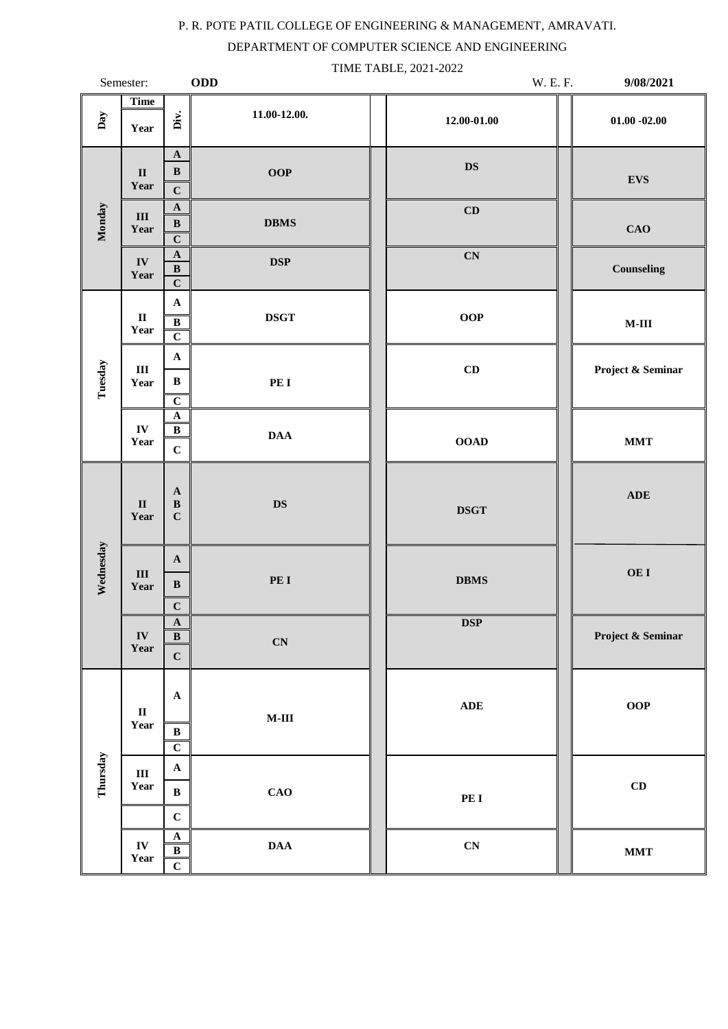## P. R. POTE PATIL COLLEGE OF ENGINEERING & MANAGEMENT, AMRAVATI.

DEPARTMENT OF COMPUTER SCIENCE AND ENGINEERING

|           | Semester:                      |                                                              | <b>ODD</b>                        | TIME TABLE, 2021-2022<br>W. E. F. | 9/08/2021                        |
|-----------|--------------------------------|--------------------------------------------------------------|-----------------------------------|-----------------------------------|----------------------------------|
| Day       | <b>Time</b><br>Year            | Div.                                                         | 11.00-12.00.                      | $12.00 - 01.00$                   | $01.00 - 02.00$                  |
| Monday    | $\rm II$<br>Year               | $\mathbf A$<br>$\, {\bf B}$<br>$\mathbf C$                   | <b>OOP</b>                        | <b>DS</b>                         | <b>EVS</b>                       |
|           | $\rm III$<br>Year              | $\mathbf A$<br>$\, {\bf B}$<br>$\overline{C}$                | <b>DBMS</b>                       | CD                                | <b>CAO</b>                       |
|           | ${\bf IV}$<br>Year             | ${\bf A}$<br>$\, {\bf B}$<br>$\overline{C}$                  | DSP                               | $\mathbf{C}\mathbf{N}$            | <b>Counseling</b>                |
|           | $\mathbf{I}\mathbf{I}$<br>Year | $\mathbf A$<br>$\, {\bf B}$<br>$\overline{C}$                | <b>DSGT</b>                       | OOP                               | $\mathbf{M}\text{-}\mathbf{III}$ |
| Tuesday   | $\rm III$<br>Year              | $\mathbf A$<br>$\, {\bf B}$<br>$\overline{C}$                | PE I                              | $\mathbf C\mathbf D$              | Project & Seminar                |
|           | ${\bf IV}$<br>Year             | $\mathbf A$<br>$\overline{B}$<br>$\mathbf C$                 | <b>DAA</b>                        | <b>OOAD</b>                       | $\bold{MMT}$                     |
| Wednesday | $\rm II$<br>Year               | $\mathbf A$<br>$\, {\bf B}$<br>$\mathbf C$                   | <b>DS</b>                         | <b>DSGT</b>                       | <b>ADE</b>                       |
|           | $\rm III$<br>Year              | $\mathbf A$<br>$\, {\bf B}$<br>$\mathbf{C}$                  | PE I                              | <b>DBMS</b>                       | OE I                             |
|           | ${\bf IV}$<br>Year             | $\mathbf A$<br>$\, {\bf B}$<br>$\mathbf C$                   | $\overline{\mathbf{C}}\mathbf{N}$ | <b>DSP</b>                        | Project & Seminar                |
| Thursday  | $\mathbf{I}\mathbf{I}$<br>Year | $\mathbf A$<br>$\, {\bf B}$<br>$\overline{C}$                | $\mathbf{M}\text{-}\mathbf{III}$  | $\mathbf{ADE}$                    | <b>OOP</b>                       |
|           | $\rm III$<br>Year              | $\mathbf A$<br>$\, {\bf B}$<br>$\mathbf C$                   | <b>CAO</b>                        | PE I                              | CD                               |
|           | ${\bf IV}$<br>Year             | $\boldsymbol{\rm{A}}$<br>$\bf{B}$<br>$\overline{\mathbf{c}}$ | $\mathbf{D}\mathbf{A}\mathbf{A}$  | ${\bf CN}$                        | $\bold{MMT}$                     |